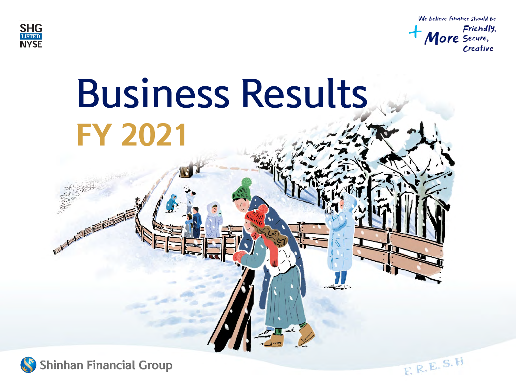





**Shinhan Financial Group**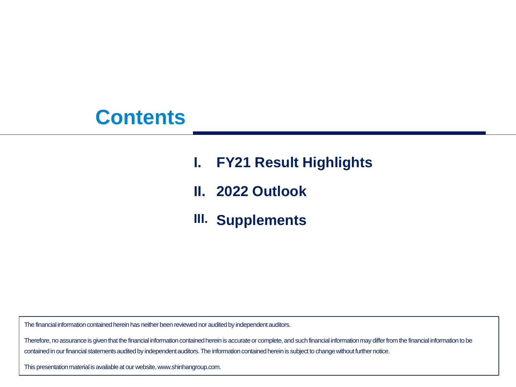## **Contents**

- **I. FY21 Result Highlights**
- **II. 2022 Outlook**
- **III. Supplements**

The financial information contained herein has neither been reviewed nor audited by independent auditors.

Therefore, no assurance is given that the financial information contained herein is accurate or complete, and such financial information may differ from the financial information to be contained in our financial statements audited by independent auditors. The information contained herein is subject to change without further notice.

This presentation material is available at our website, www.shinhangroup.com.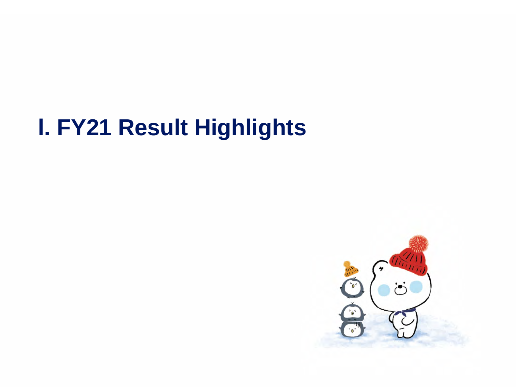# **l. FY21 Result Highlights**

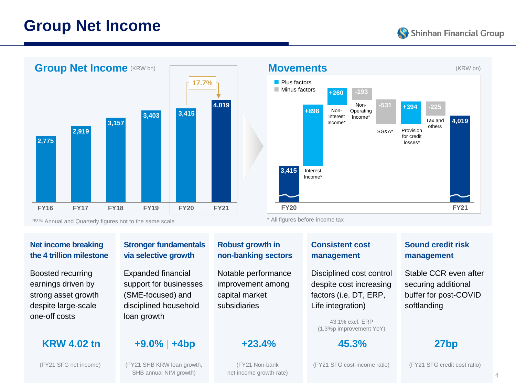### **Group Net Income**





#### **Net income breaking the 4 trillion milestone**

Boosted recurring earnings driven by strong asset growth despite large-scale one-off costs

#### **Stronger fundamentals via selective growth**

Expanded financial support for businesses (SME-focused) and disciplined household loan growth

#### **KRW 4.02 tn +9.0% | +4bp +23.4% 45.3% 27bp**

SHB annual NIM growth)

#### **Robust growth in non-banking sectors**

Notable performance improvement among capital market subsidiaries

(FY21 Non-bank net income growth rate) **Consistent cost management** 

Disciplined cost control despite cost increasing factors (i.e. DT, ERP, Life integration)

43.1% excl. ERP (1.3%p improvement YoY)

#### **Sound credit risk management**

**FY21**

**4,019**

Tax and others

Stable CCR even after securing additional buffer for post-COVID softlanding

(FY21 SFG cost-income ratio) (FY21 SFG credit cost ratio)

(FY21 SFG net income) (FY21 SHB KRW loan growth,

4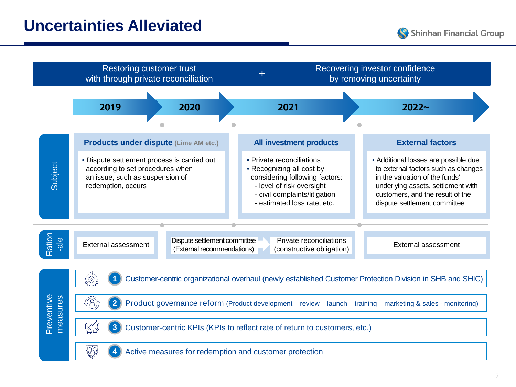

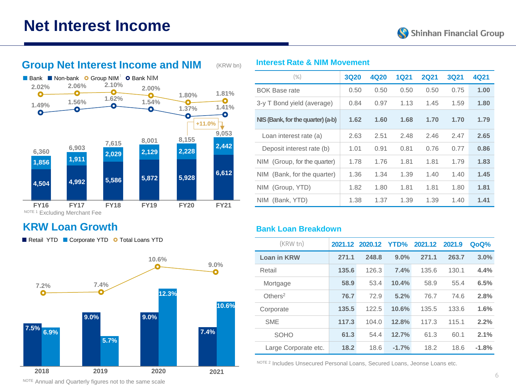



### **KRW Loan Growth**

Retail YTD Corporate YTD **O** Total Loans YTD



| $(\% )$                           | <b>3Q20</b> | 4Q20 | <b>1Q21</b> | <b>2Q21</b> | <b>3Q21</b> | 4Q21 |
|-----------------------------------|-------------|------|-------------|-------------|-------------|------|
| <b>BOK Base rate</b>              | 0.50        | 0.50 | 0.50        | 0.50        | 0.75        | 1.00 |
| 3-y T Bond yield (average)        | 0.84        | 0.97 | 1.13        | 1.45        | 1.59        | 1.80 |
| NIS (Bank, for the quarter) (a-b) | 1.62        | 1.60 | 1.68        | 1.70        | 1.70        | 1.79 |
| Loan interest rate (a)            | 2.63        | 2.51 | 2.48        | 2.46        | 2.47        | 2.65 |
| Deposit interest rate (b)         | 1.01        | 0.91 | 0.81        | 0.76        | 0.77        | 0.86 |
| NIM (Group, for the quarter)      | 1.78        | 1.76 | 1.81        | 1.81        | 1.79        | 1.83 |
| NIM (Bank, for the quarter)       | 1.36        | 1.34 | 1.39        | 1.40        | 1.40        | 1.45 |
| NIM (Group, YTD)                  | 1.82        | 1.80 | 1.81        | 1.81        | 1.80        | 1.81 |
| NIM (Bank, YTD)                   | 1.38        | 1.37 | 1.39        | 1.39        | 1.40        | 1.41 |

#### **Bank Loan Breakdown**

| (KRW tn)               |       | 2021.12 2020.12 YTD% |         | 2021.12 | 2021.9 | QoQ%    |
|------------------------|-------|----------------------|---------|---------|--------|---------|
| Loan in KRW            | 271.1 | 248.8                | 9.0%    | 271.1   | 263.7  | 3.0%    |
| Retail                 | 135.6 | 126.3                | 7.4%    | 135.6   | 130.1  | 4.4%    |
| Mortgage               | 58.9  | 53.4                 | 10.4%   | 58.9    | 55.4   | 6.5%    |
| $O$ thers <sup>2</sup> | 76.7  | 72.9                 | 5.2%    | 76.7    | 74.6   | 2.8%    |
| Corporate              | 135.5 | 122.5                | 10.6%   | 135.5   | 133.6  | 1.6%    |
| <b>SME</b>             | 117.3 | 104.0                | 12.8%   | 117.3   | 115.1  | 2.2%    |
| <b>SOHO</b>            | 61.3  | 54.4                 | 12.7%   | 61.3    | 60.1   | 2.1%    |
| Large Corporate etc.   | 18.2  | 18.6                 | $-1.7%$ | 18.2    | 18.6   | $-1.8%$ |

NOTE 2 Includes Unsecured Personal Loans, Secured Loans, Jeonse Loans etc.

NOTE Annual and Quarterly figures not to the same scale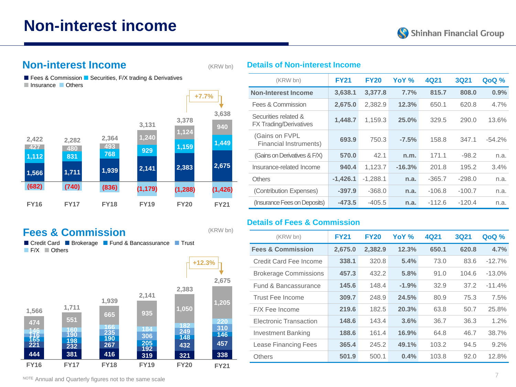### **Non-interest income**



#### **Non-interest Income**

(KRW bn)

(KRW bn)

**Details of Non-interest Income**

Fees & Commission  $\blacksquare$  Securities, F/X trading & Derivatives Insurance **Others** 



### **Fees & Commission**

■ Credit Card ■ Brokerage ■ Fund & Bancassurance ■ Trust F/X **Others** 

**+12.3%**



| (KRW bn)                                       | <b>FY21</b> | <b>FY20</b> | YoY %    | 4Q21     | 3Q21     | <b>QoQ</b> % |
|------------------------------------------------|-------------|-------------|----------|----------|----------|--------------|
| <b>Non-Interest Income</b>                     | 3,638.1     | 3,377.8     | 7.7%     | 815.7    | 808.0    | 0.9%         |
| Fees & Commission                              | 2,675.0     | 2,382.9     | 12.3%    | 650.1    | 620.8    | 4.7%         |
| Securities related &<br>FX Trading/Derivatives | 1,448.7     | 1,159.3     | 25.0%    | 329.5    | 290.0    | 13.6%        |
| (Gains on FVPL<br>Financial Instruments)       | 693.9       | 750.3       | $-7.5%$  | 158.8    | 347.1    | $-54.2%$     |
| (Gains on Derivatives & F/X)                   | 570.0       | 42.1        | n.m.     | 171.1    | $-98.2$  | n.a.         |
| Insurance-related Income                       | 940.4       | 1,123.7     | $-16.3%$ | 201.8    | 195.2    | 3.4%         |
| <b>Others</b>                                  | $-1,426.1$  | $-1.288.1$  | n.a.     | $-365.7$ | $-298.0$ | n.a.         |
| (Contribution Expenses)                        | $-397.9$    | $-368.0$    | n.a.     | $-106.8$ | $-100.7$ | n.a.         |
| (Insurance Fees on Deposits)                   | $-473.5$    | $-405.5$    | n.a.     | $-112.6$ | $-120.4$ | n.a.         |

#### **Details of Fees & Commission**

| (KRW bn)                     | <b>FY21</b> | <b>FY20</b>    | YoY %   | 4Q21  | <b>3Q21</b> | QoQ %    |
|------------------------------|-------------|----------------|---------|-------|-------------|----------|
| <b>Fees &amp; Commission</b> | 2,675.0     | 2,382.9        | 12.3%   | 650.1 | 620.8       | 4.7%     |
| Credit Card Fee Income       | 338.1       | 320.8          | 5.4%    | 73.0  | 83.6        | $-12.7%$ |
| <b>Brokerage Commissions</b> | 457.3       | 432.2          | 5.8%    | 91.0  | 104.6       | $-13.0%$ |
| Fund & Bancassurance         | 145.6       | 148.4          | $-1.9%$ | 32.9  | 37.2        | $-11.4%$ |
| Trust Fee Income             | 309.7       | 248.9<br>24.5% |         | 80.9  | 75.3        | 7.5%     |
| F/X Fee Income               | 219.6       | 182.5          | 20.3%   | 63.8  | 50.7        | 25.8%    |
| Electronic Transaction       | 148.6       | 143.4          | 3.6%    | 36.7  | 36.3        | 1.2%     |
| <b>Investment Banking</b>    | 188.6       | 161.4          | 16.9%   | 64.8  | 46.7        | 38.7%    |
| Lease Financing Fees         | 365.4       | 245.2          | 49.1%   | 103.2 | 94.5        | 9.2%     |
| Others                       | 501.9       | 500.1          | 0.4%    | 103.8 | 92.0        | 12.8%    |

NOTE Annual and Quarterly figures not to the same scale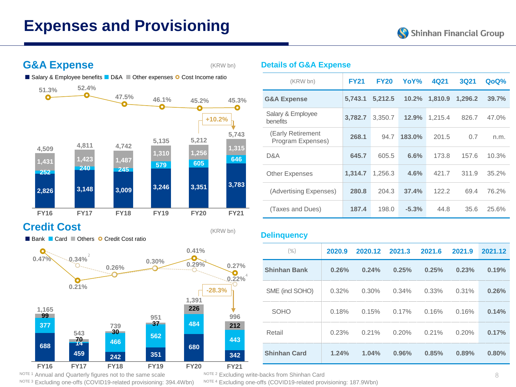### **Expenses and Provisioning**

Shinhan Financial Group

### **G&A Expense**

(KRW bn)

(KRW bn)

■ Salary & Employee benefits ■ D&A ■ Other expenses ● Cost Income ratio



### **Credit Cost**

Bank **Card Cothers O** Credit Cost ratio



#### NOTE 3 Excluding one-offs (COVID19-related provisioning: 394.4Wbn) NOTE 4 Excluding one-offs (COVID19-related provisioning: 187.9Wbn)

#### **Details of G&A Expense**

| (KRW bn)                               | <b>FY21</b> | <b>FY20</b> | YoY%    | 4Q21    | 3Q21    | QoQ%  |
|----------------------------------------|-------------|-------------|---------|---------|---------|-------|
| <b>G&amp;A Expense</b>                 | 5.743.1     | 5,212.5     | 10.2%   | 1,810.9 | 1,296.2 | 39.7% |
| Salary & Employee<br><b>benefits</b>   | 3,782.7     | 3,350.7     | 12.9%   | 1,215.4 | 826.7   | 47.0% |
| (Early Retirement<br>Program Expenses) | 268.1       | 94.7        | 183.0%  | 201.5   | 0.7     | n.m.  |
| D&A                                    | 645.7       | 605.5       | 6.6%    | 173.8   | 157.6   | 10.3% |
| <b>Other Expenses</b>                  | 1.314.7     | 1,256.3     | 4.6%    | 421.7   | 311.9   | 35.2% |
| (Advertising Expenses)                 | 280.8       | 204.3       | 37.4%   | 122.2   | 69.4    | 76.2% |
| (Taxes and Dues)                       | 187.4       | 198.0       | $-5.3%$ | 44.8    | 35.6    | 25.6% |

#### **Delinquency**

| $(\% )$             | 2020.9   | 2020.12 | 2021.3 | 2021.6 | 2021.9 | 2021.12 |
|---------------------|----------|---------|--------|--------|--------|---------|
| <b>Shinhan Bank</b> | 0.26%    | 0.24%   | 0.25%  | 0.25%  | 0.23%  | 0.19%   |
| SME (incl SOHO)     | $0.32\%$ | 0.30%   | 0.34%  | 0.33%  | 0.31%  | 0.26%   |
| <b>SOHO</b>         | 0.18%    | 0.15%   | 0.17%  | 0.16%  | 0.16%  | 0.14%   |
| Retail              | 0.23%    | 0.21%   | 0.20%  | 0.21%  | 0.20%  | 0.17%   |
| <b>Shinhan Card</b> | 1.24%    | 1.04%   | 0.96%  | 0.85%  | 0.89%  | 0.80%   |

4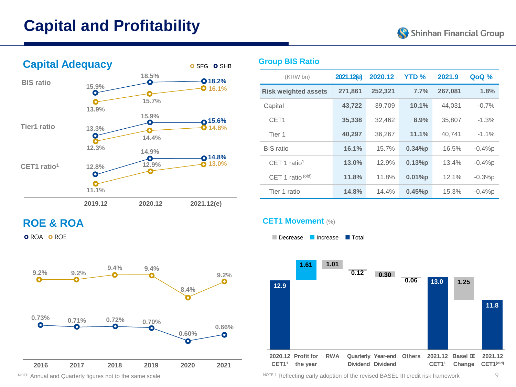## **Capital and Profitability**





| (KRW bn)                    | 2021.12(e) | 2020.12 | <b>YTD %</b> | 2021.9  | QoQ %    |
|-----------------------------|------------|---------|--------------|---------|----------|
| <b>Risk weighted assets</b> | 271,861    | 252,321 | 7.7%         | 267,081 | 1.8%     |
| Capital                     | 43,722     | 39,709  | 10.1%        | 44.031  | $-0.7%$  |
| CET <sub>1</sub>            | 35,338     | 32.462  | 8.9%         | 35,807  | $-1.3\%$ |
| Tier 1                      | 40,297     | 36.267  | 11.1%        | 40.741  | $-1.1\%$ |
| <b>BIS</b> ratio            | 16.1%      | 15.7%   | 0.34%p       | 16.5%   | $-0.4%p$ |
| $CFT 1$ ratio <sup>1</sup>  | 13.0%      | 12.9%   | 0.13%p       | 13.4%   | $-0.4%p$ |
| CET 1 ratio (old)           | 11.8%      | 11.8%   | 0.01%p       | 12.1%   | $-0.3%p$ |
| Tier 1 ratio                | 14.8%      | 14.4%   | 0.45%p       | 15.3%   | $-0.4%p$ |

### **ROE & ROA**

**O** ROA **O** ROE



#### **CET1 Movement** (%)

**Group BIS Ratio**

Decrease **Increase** Total



NOTE 1 Reflecting early adoption of the revised BASEL III credit risk framework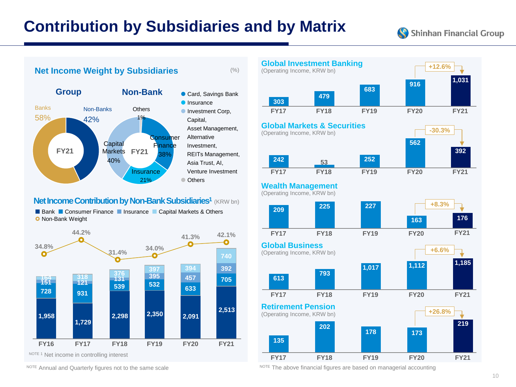### **Contribution by Subsidiaries and by Matrix**

Shinhan Financial Group



#### **Net Income Contribution by Non-Bank Subsidiaries<sup>1</sup> (KRW bn)**

■ Bank ■ Consumer Finance ■ Insurance ■ Capital Markets & Others **O** Non-Bank Weight





NOTE Annual and Quarterly figures not to the same scale NOTE The above financial figures are based on managerial accounting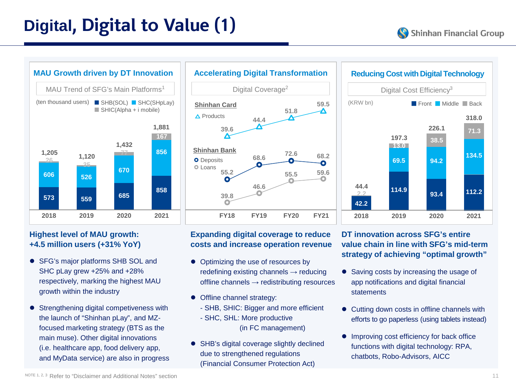## **Digital, Digital to Value (1)**





#### **Highest level of MAU growth: +4.5 million users (+31% YoY)**

- SFG's major platforms SHB SOL and SHC pLay grew +25% and +28% respectively, marking the highest MAU growth within the industry
- Strengthening digital competiveness with the launch of "Shinhan pLay", and MZfocused marketing strategy (BTS as the main muse). Other digital innovations (i.e. healthcare app, food delivery app, and MyData service) are also in progress



#### **Expanding digital coverage to reduce costs and increase operation revenue**

- Optimizing the use of resources by redefining existing channels → reducing offline channels → redistributing resources
- Offline channel strategy:
	- SHB, SHIC: Bigger and more efficient
	- SHC, SHL: More productive (in FC management)
- SHB's digital coverage slightly declined due to strengthened regulations (Financial Consumer Protection Act)



#### **DT innovation across SFG's entire value chain in line with SFG's mid-term strategy of achieving "optimal growth"**

- Saving costs by increasing the usage of app notifications and digital financial statements
- Cutting down costs in offline channels with efforts to go paperless (using tablets instead)
- Improving cost efficiency for back office functions with digital technology: RPA, chatbots, Robo-Advisors, AICC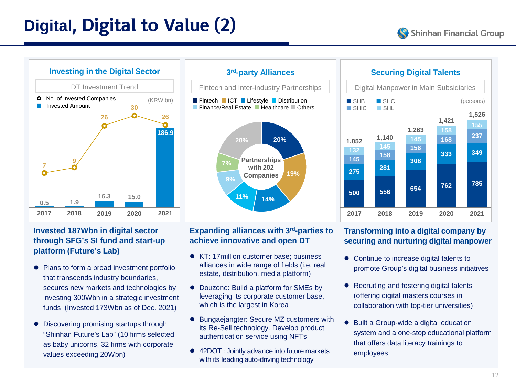## **Digital, Digital to Value (2)**

**333**

**349**

**237 155 1,526**

(persons)

**168 158 1,421**



#### **3rd-party Alliances** Fintech and Inter-industry Partnerships **Fintech ICT Lifestyle Distribution Finance/Real Estate | Healthcare | Others Partnerships with 202 Companies 20% 19%**  $11\%$   $14\%$ **9% 7% 20%**

#### **500 2017 556 2018 654 2019 762 2020 785 2021**

**281 158**

**1,140**

SHB SHC  $S<sub>HIC</sub>$   $S<sub>HI</sub>$ 

#### **Invested 187Wbn in digital sector through SFG's SI fund and start-up platform (Future's Lab)**

- Plans to form a broad investment portfolio that transcends industry boundaries, secures new markets and technologies by investing 300Wbn in a strategic investment funds (Invested 173Wbn as of Dec. 2021)
- Discovering promising startups through "Shinhan Future's Lab" (10 firms selected as baby unicorns, 32 firms with corporate values exceeding 20Wbn)

#### **Expanding alliances with 3rd-parties to achieve innovative and open DT**

- KT: 17 million customer base: business alliances in wide range of fields (i.e. real estate, distribution, media platform)
- Douzone: Build a platform for SMEs by leveraging its corporate customer base, which is the largest in Korea
- Bungaejangter: Secure MZ customers with its Re-Sell technology. Develop product authentication service using NFTs
- 42DOT : Jointly advance into future markets with its leading auto-driving technology

#### **Transforming into a digital company by securing and nurturing digital manpower**

**Securing Digital Talents**

Digital Manpower in Main Subsidiaries

- Continue to increase digital talents to promote Group's digital business initiatives
- Recruiting and fostering digital talents (offering digital masters courses in collaboration with top-tier universities)
- Built a Group-wide a digital education system and a one-stop educational platform that offers data literacy trainings to employees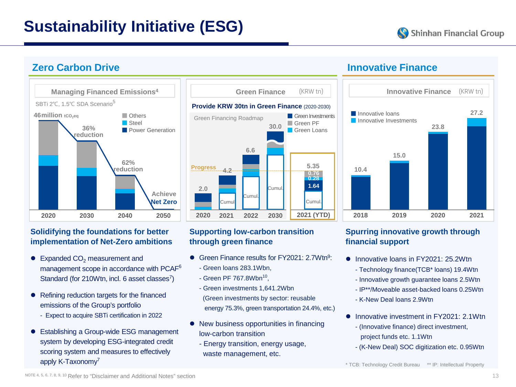## **Sustainability Initiative (ESG)**



#### **Zero Carbon Drive**



#### **Solidifying the foundations for better implementation of Net-Zero ambitions**

- $\bullet$  Expanded CO<sub>2</sub> measurement and management scope in accordance with PCAF6 Standard (for 210Wtn, incl. 6 asset classes<sup>7</sup>)
- Refining reduction targets for the financed emissions of the Group's portfolio
	- Expect to acquire SBTi certification in 2022
- Establishing a Group-wide ESG management system by developing ESG-integrated credit scoring system and measures to effectively apply K-Taxonomy<sup>7</sup>



#### **Supporting low-carbon transition through green finance**

- Green Finance results for  $FY2021: 2.7Wtn<sup>9</sup>$ - Green loans 283.1Wbn,
	-
	- Green PF 767.8Wbn<sup>10</sup>,
	- Green investments 1,641.2Wbn (Green investments by sector: reusable energy 75.3%, green transportation 24.4%, etc.)
- New business opportunities in financing low-carbon transition
	- Energy transition, energy usage, waste management, etc.

#### **Innovative Finance**



#### **Spurring innovative growth through financial support**

- $\bullet$  Innovative loans in FY2021: 25.2Wtn
	- Technology finance(TCB\* loans) 19.4Wtn
	- Innovative growth guarantee loans 2.5Wtn
	- IP\*\*/Moveable asset-backed loans 0.25Wtn
	- K-New Deal loans 2.9Wtn
- Innovative investment in FY2021: 2.1Wtn
	- (Innovative finance) direct investment, project funds etc. 1.1Wtn
	- (K-New Deal) SOC digitization etc. 0.95Wtn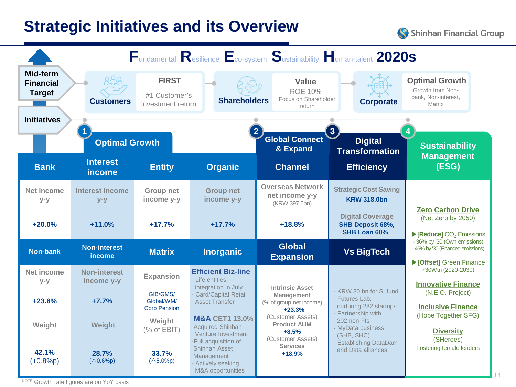### **Strategic Initiatives and its Overview**

Shinhan Financial Group



NOTE Growth rate figures are on YoY basis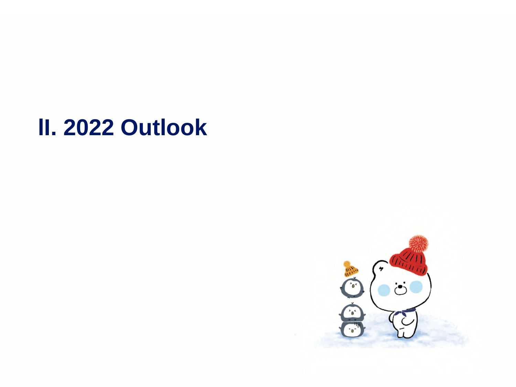# **lI. 2022 Outlook**

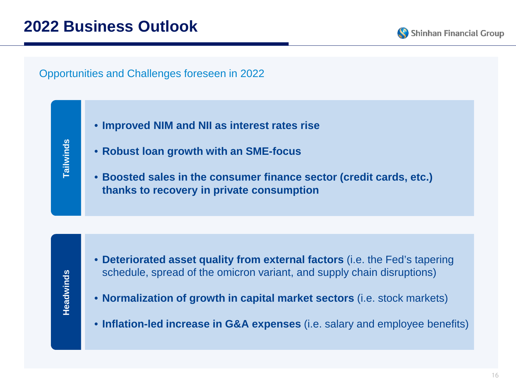Shinhan Financial Group

Opportunities and Challenges foreseen in 2022

Tailwinds **Tailwinds**

- **Improved NIM and NII as interest rates rise**
- **Robust loan growth with an SME-focus**
- **Boosted sales in the consumer finance sector (credit cards, etc.) thanks to recovery in private consumption**

- **Deteriorated asset quality from external factors** (i.e. the Fed's tapering schedule, spread of the omicron variant, and supply chain disruptions)
- **Normalization of growth in capital market sectors** (i.e. stock markets)
- **Inflation-led increase in G&A expenses** (i.e. salary and employee benefits)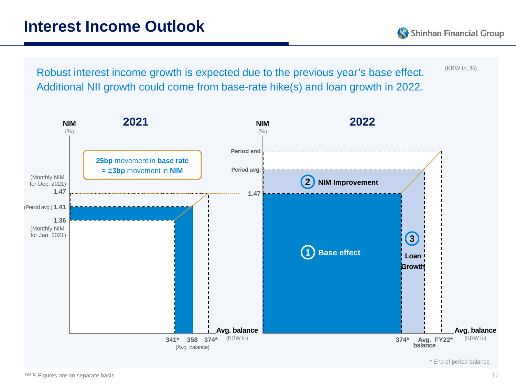Shinhan Financial Group



\* End of period balance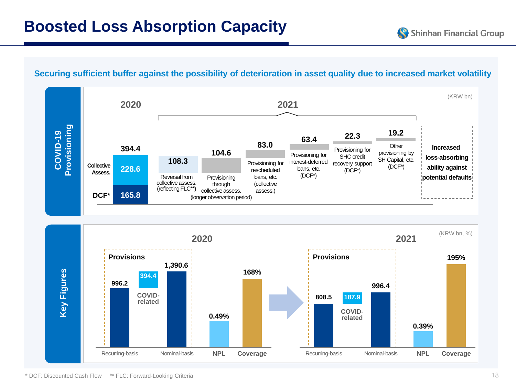#### **Securing sufficient buffer against the possibility of deterioration in asset quality due to increased market volatility**

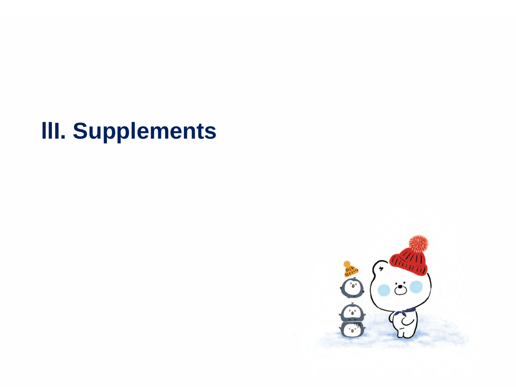# **llI. Supplements**

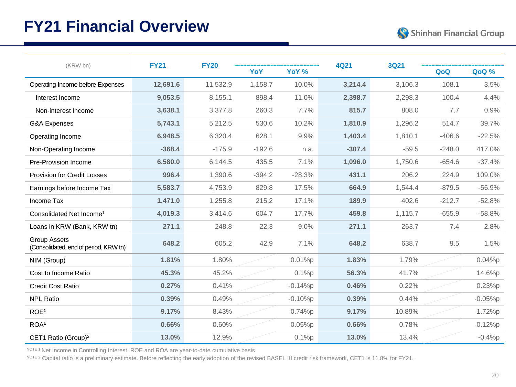### **FY21 Financial Overview**



| (KRW bn)                                                     | <b>FY21</b> | <b>FY20</b> |          |           | 4Q21     | <b>3Q21</b> |          |           |
|--------------------------------------------------------------|-------------|-------------|----------|-----------|----------|-------------|----------|-----------|
|                                                              |             |             | YoY      | YoY %     |          |             | QoQ      | QoQ %     |
| Operating Income before Expenses                             | 12,691.6    | 11,532.9    | 1,158.7  | 10.0%     | 3,214.4  | 3,106.3     | 108.1    | 3.5%      |
| Interest Income                                              | 9,053.5     | 8.155.1     | 898.4    | 11.0%     | 2,398.7  | 2,298.3     | 100.4    | 4.4%      |
| Non-interest Income                                          | 3,638.1     | 3,377.8     | 260.3    | 7.7%      | 815.7    | 808.0       | 7.7      | 0.9%      |
| G&A Expenses                                                 | 5,743.1     | 5,212.5     | 530.6    | 10.2%     | 1.810.9  | 1,296.2     | 514.7    | 39.7%     |
| Operating Income                                             | 6,948.5     | 6,320.4     | 628.1    | 9.9%      | 1,403.4  | 1,810.1     | $-406.6$ | $-22.5%$  |
| Non-Operating Income                                         | $-368.4$    | $-175.9$    | $-192.6$ | n.a.      | $-307.4$ | $-59.5$     | $-248.0$ | 417.0%    |
| Pre-Provision Income                                         | 6,580.0     | 6,144.5     | 435.5    | 7.1%      | 1,096.0  | 1,750.6     | $-654.6$ | $-37.4%$  |
| <b>Provision for Credit Losses</b>                           | 996.4       | 1,390.6     | $-394.2$ | $-28.3%$  | 431.1    | 206.2       | 224.9    | 109.0%    |
| Earnings before Income Tax                                   | 5,583.7     | 4,753.9     | 829.8    | 17.5%     | 664.9    | 1,544.4     | $-879.5$ | $-56.9%$  |
| Income Tax                                                   | 1,471.0     | 1,255.8     | 215.2    | 17.1%     | 189.9    | 402.6       | $-212.7$ | $-52.8%$  |
| Consolidated Net Income <sup>1</sup>                         | 4,019.3     | 3,414.6     | 604.7    | 17.7%     | 459.8    | 1,115.7     | $-655.9$ | $-58.8%$  |
| Loans in KRW (Bank, KRW tn)                                  | 271.1       | 248.8       | 22.3     | 9.0%      | 271.1    | 263.7       | 7.4      | 2.8%      |
| <b>Group Assets</b><br>(Consolidated, end of period, KRW tn) | 648.2       | 605.2       | 42.9     | 7.1%      | 648.2    | 638.7       | 9.5      | 1.5%      |
| NIM (Group)                                                  | 1.81%       | 1.80%       |          | 0.01%p    | 1.83%    | 1.79%       |          | 0.04%p    |
| Cost to Income Ratio                                         | 45.3%       | 45.2%       |          | 0.1%p     | 56.3%    | 41.7%       |          | 14.6%p    |
| Credit Cost Ratio                                            | 0.27%       | 0.41%       |          | $-0.14%p$ | 0.46%    | 0.22%       |          | 0.23%p    |
| <b>NPL Ratio</b>                                             | 0.39%       | 0.49%       |          | $-0.10%p$ | 0.39%    | 0.44%       |          | $-0.05%p$ |
| ROE <sup>1</sup>                                             | 9.17%       | 8.43%       |          | 0.74%p    | 9.17%    | 10.89%      |          | $-1.72%p$ |
| ROA <sup>1</sup>                                             | 0.66%       | 0.60%       |          | 0.05%p    | 0.66%    | 0.78%       |          | $-0.12%p$ |
| CET1 Ratio (Group) <sup>2</sup>                              | 13.0%       | 12.9%       |          | 0.1%p     | 13.0%    | 13.4%       |          | $-0.4%p$  |

NOTE 1 Net Income in Controlling Interest. ROE and ROA are year-to-date cumulative basis

NOTE 2 Capital ratio is a preliminary estimate. Before reflecting the early adoption of the revised BASEL III credit risk framework, CET1 is 11.8% for FY21.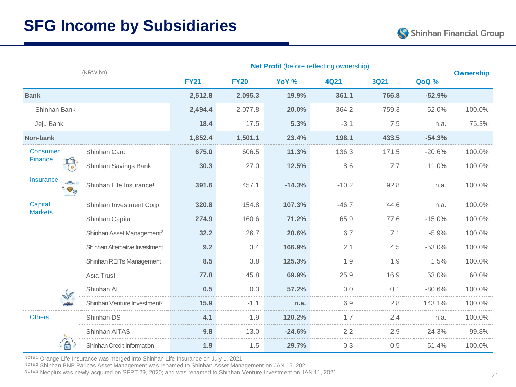### **SFG Income by Subsidiaries**

|                  |                      | (KRW bn)                                |             |             |          | Net Profit (before reflecting ownership) |             |          | <b>Ownership</b> |
|------------------|----------------------|-----------------------------------------|-------------|-------------|----------|------------------------------------------|-------------|----------|------------------|
|                  |                      |                                         | <b>FY21</b> | <b>FY20</b> | YoY %    | <b>4Q21</b>                              | <b>3Q21</b> | QoQ %    |                  |
| <b>Bank</b>      |                      |                                         | 2,512.8     | 2,095.3     | 19.9%    | 361.1                                    | 766.8       | $-52.9%$ |                  |
| Shinhan Bank     |                      |                                         | 2,494.4     | 2,077.8     | 20.0%    | 364.2                                    | 759.3       | $-52.0%$ | 100.0%           |
| Jeju Bank        |                      |                                         | 18.4        | 17.5        | 5.3%     | $-3.1$                                   | 7.5         | n.a.     | 75.3%            |
| Non-bank         |                      |                                         | 1,852.4     | 1,501.1     | 23.4%    | 198.1                                    | 433.5       | $-54.3%$ |                  |
| Consumer         |                      | Shinhan Card                            | 675.0       | 606.5       | 11.3%    | 136.3                                    | 171.5       | $-20.6%$ | 100.0%           |
| <b>Finance</b>   | 6                    | Shinhan Savings Bank                    | 30.3        | 27.0        | 12.5%    | 8.6                                      | 7.7         | 11.0%    | 100.0%           |
| <b>Insurance</b> | $\sqrt{\frac{1}{2}}$ | Shinhan Life Insurance <sup>1</sup>     | 391.6       | 457.1       | $-14.3%$ | $-10.2$                                  | 92.8        | n.a.     | 100.0%           |
| Capital          |                      | Shinhan Investment Corp                 | 320.8       | 154.8       | 107.3%   | $-46.7$                                  | 44.6        | n.a.     | 100.0%           |
| <b>Markets</b>   |                      | Shinhan Capital                         | 274.9       | 160.6       | 71.2%    | 65.9                                     | 77.6        | $-15.0%$ | 100.0%           |
|                  |                      | Shinhan Asset Management <sup>2</sup>   | 32.2        | 26.7        | 20.6%    | 6.7                                      | 7.1         | $-5.9%$  | 100.0%           |
|                  |                      | Shinhan Alternative Investment          | 9.2         | 3.4         | 166.9%   | 2.1                                      | 4.5         | $-53.0%$ | 100.0%           |
|                  |                      | Shinhan REITs Management                | 8.5         | 3.8         | 125.3%   | 1.9                                      | 1.9         | 1.5%     | 100.0%           |
|                  |                      | Asia Trust                              | 77.8        | 45.8        | 69.9%    | 25.9                                     | 16.9        | 53.0%    | 60.0%            |
|                  |                      | Shinhan Al                              | 0.5         | 0.3         | 57.2%    | 0.0                                      | 0.1         | $-80.6%$ | 100.0%           |
|                  |                      | Shinhan Venture Investment <sup>3</sup> | 15.9        | $-1.1$      | n.a.     | 6.9                                      | 2.8         | 143.1%   | 100.0%           |
| <b>Others</b>    |                      | Shinhan DS                              | 4.1         | 1.9         | 120.2%   | $-1.7$                                   | 2.4         | n.a.     | 100.0%           |
|                  |                      | Shinhan AITAS                           | 9.8         | 13.0        | $-24.6%$ | 2.2                                      | 2.9         | $-24.3%$ | 99.8%            |
|                  |                      | Shinhan Credit Information              | 1.9         | 1.5         | 29.7%    | 0.3                                      | 0.5         | $-51.4%$ | 100.0%           |

NOTE 1 Orange Life Insurance was merged into Shinhan Life Insurance on July 1, 2021

NOTE 2 Shinhan BNP Paribas Asset Management was renamed to Shinhan Asset Management on JAN 15, 2021

NOTE 3 Neoplux was newly acquired on SEPT 29, 2020; and was renamed to Shinhan Venture Investment on JAN 11, 2021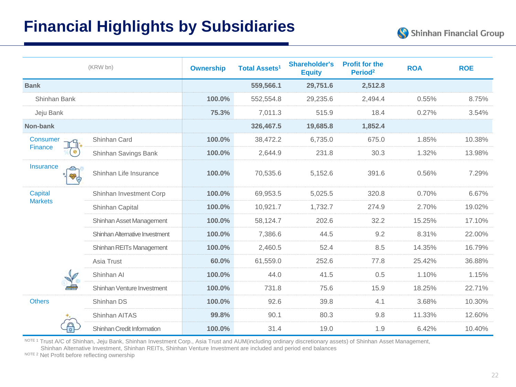### **Financial Highlights by Subsidiaries**

|                  | (KRW bn)                       | <b>Ownership</b> | <b>Shareholder's</b><br><b>Total Assets<sup>1</sup></b><br><b>Equity</b> |          | <b>Profit for the</b><br>Period <sup>2</sup> | <b>ROA</b> | <b>ROE</b> |
|------------------|--------------------------------|------------------|--------------------------------------------------------------------------|----------|----------------------------------------------|------------|------------|
| <b>Bank</b>      |                                |                  | 559,566.1                                                                | 29,751.6 | 2,512.8                                      |            |            |
| Shinhan Bank     |                                | 100.0%           | 552,554.8                                                                | 29,235.6 | 2,494.4                                      | 0.55%      | 8.75%      |
| Jeju Bank        |                                | 75.3%            | 7,011.3                                                                  | 515.9    | 18.4                                         | 0.27%      | 3.54%      |
| Non-bank         |                                |                  | 326,467.5                                                                | 19,685.8 | 1,852.4                                      |            |            |
| <b>Consumer</b>  | Shinhan Card                   | 100.0%           | 38,472.2                                                                 | 6,735.0  | 675.0                                        | 1.85%      | 10.38%     |
| Finance          | Shinhan Savings Bank           | 100.0%           | 2,644.9                                                                  | 231.8    | 30.3                                         | 1.32%      | 13.98%     |
| <b>Insurance</b> | Shinhan Life Insurance         | 100.0%           | 70,535.6                                                                 | 5,152.6  | 391.6                                        | 0.56%      | 7.29%      |
| Capital          | Shinhan Investment Corp        | 100.0%           | 69,953.5                                                                 | 5,025.5  | 320.8                                        | 0.70%      | 6.67%      |
| <b>Markets</b>   | Shinhan Capital                | 100.0%           | 10,921.7                                                                 | 1,732.7  | 274.9                                        | 2.70%      | 19.02%     |
|                  | Shinhan Asset Management       | 100.0%           | 58,124.7                                                                 | 202.6    | 32.2                                         | 15.25%     | 17.10%     |
|                  | Shinhan Alternative Investment | 100.0%           | 7,386.6                                                                  | 44.5     | 9.2                                          | 8.31%      | 22.00%     |
|                  | Shinhan REITs Management       | 100.0%           | 2,460.5                                                                  | 52.4     | 8.5                                          | 14.35%     | 16.79%     |
|                  | Asia Trust                     | 60.0%            | 61,559.0                                                                 | 252.6    | 77.8                                         | 25.42%     | 36.88%     |
|                  | Shinhan Al                     | 100.0%           | 44.0                                                                     | 41.5     | 0.5                                          | 1.10%      | 1.15%      |
|                  | Shinhan Venture Investment     | 100.0%           | 731.8                                                                    | 75.6     | 15.9                                         | 18.25%     | 22.71%     |
| <b>Others</b>    | Shinhan DS                     | 100.0%           | 92.6                                                                     | 39.8     | 4.1                                          | 3.68%      | 10.30%     |
|                  | Shinhan AITAS                  | 99.8%            | 90.1                                                                     | 80.3     | 9.8                                          | 11.33%     | 12.60%     |
| $\Box$           | Shinhan Credit Information     | 100.0%           | 31.4                                                                     | 19.0     | 1.9                                          | 6.42%      | 10.40%     |

NOTE<sup>1</sup> Trust A/C of Shinhan, Jeju Bank, Shinhan Investment Corp., Asia Trust and AUM(including ordinary discretionary assets) of Shinhan Asset Management,

Shinhan Alternative Investment, Shinhan REITs, Shinhan Venture Investment are included and period end balances

NOTE 2 Net Profit before reflecting ownership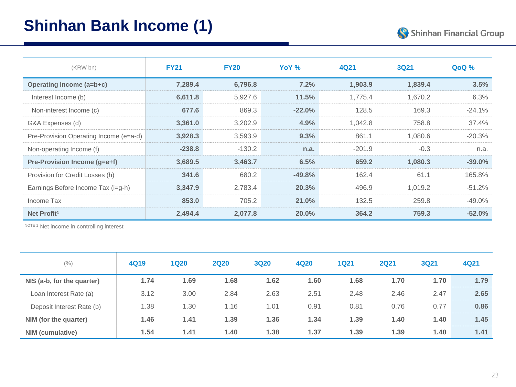## **Shinhan Bank Income (1)**



| (KRW bn)                               | <b>FY21</b> | <b>FY20</b> | YoY %<br>4Q21<br><b>3Q21</b> |          |         | QoQ %     |
|----------------------------------------|-------------|-------------|------------------------------|----------|---------|-----------|
| Operating Income (a=b+c)               | 7,289.4     | 6,796.8     | 7.2%                         | 1,903.9  | 1,839.4 | 3.5%      |
| Interest Income (b)                    | 6,611.8     | 5,927.6     | 11.5%                        | 1,775.4  | 1,670.2 | 6.3%      |
| Non-interest Income (c)                | 677.6       | 869.3       | $-22.0%$                     | 128.5    | 169.3   | $-24.1%$  |
| G&A Expenses (d)                       | 3,361.0     | 3,202.9     | 4.9%                         | 1,042.8  | 758.8   | 37.4%     |
| Pre-Provision Operating Income (e=a-d) | 3,928.3     | 3,593.9     | 9.3%                         | 861.1    | 1,080.6 | $-20.3%$  |
| Non-operating Income (f)               | $-238.8$    | $-130.2$    | n.a.                         | $-201.9$ | $-0.3$  | n.a.      |
| Pre-Provision Income (g=e+f)           | 3,689.5     | 3,463.7     | 6.5%                         | 659.2    | 1,080.3 | $-39.0%$  |
| Provision for Credit Losses (h)        | 341.6       | 680.2       | $-49.8\%$                    | 162.4    | 61.1    | 165.8%    |
| Earnings Before Income Tax (i=g-h)     | 3,347.9     | 2,783.4     | 20.3%                        | 496.9    | 1.019.2 | $-51.2%$  |
| Income Tax                             | 853.0       | 705.2       | 21.0%                        | 132.5    | 259.8   | $-49.0\%$ |
| Net Profit <sup>1</sup>                | 2,494.4     | 2,077.8     | 20.0%                        | 364.2    | 759.3   | $-52.0%$  |

NOTE<sub>1</sub> Net income in controlling interest

| (% )                       | 4Q19 | <b>1Q20</b> | <b>2Q20</b> | <b>3Q20</b> | 4Q20 | <b>1Q21</b> | <b>2Q21</b> | <b>3Q21</b> | 4Q21 |
|----------------------------|------|-------------|-------------|-------------|------|-------------|-------------|-------------|------|
| NIS (a-b, for the quarter) | 1.74 | 1.69        | 1.68        | 1.62        | 1.60 | 1.68        | 1.70        | 1.70        | 1.79 |
| Loan Interest Rate (a)     | 3.12 | 3.00        | 2.84        | 2.63        | 2.51 | 2.48        | 2.46        | 2.47        | 2.65 |
| Deposit Interest Rate (b)  | 1.38 | 1.30        | 1.16        | 1.01        | 0.91 | 0.81        | 0.76        | 0.77        | 0.86 |
| NIM (for the quarter)      | 1.46 | 1.41        | 1.39        | 1.36        | 1.34 | 1.39        | 1.40        | 1.40        | 1.45 |
| NIM (cumulative)           | 1.54 | 1.41        | 1.40        | 1.38        | 1.37 | 1.39        | 1.39        | 1.40        | 1.41 |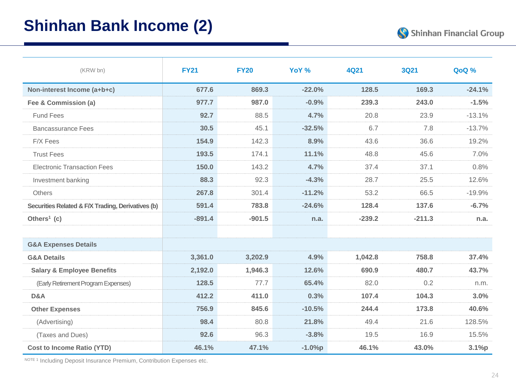### **Shinhan Bank Income (2)**



| (KRW bn)                                          | <b>FY21</b> | <b>FY20</b> | YoY %    | 4Q21     | <b>3Q21</b> | <b>QoQ%</b> |
|---------------------------------------------------|-------------|-------------|----------|----------|-------------|-------------|
| Non-interest Income (a+b+c)                       | 677.6       | 869.3       | $-22.0%$ | 128.5    | 169.3       | $-24.1%$    |
| Fee & Commission (a)                              | 977.7       | 987.0       | $-0.9%$  | 239.3    | 243.0       | $-1.5%$     |
| <b>Fund Fees</b>                                  | 92.7        | 88.5        | 4.7%     | 20.8     | 23.9        | $-13.1%$    |
| <b>Bancassurance Fees</b>                         | 30.5        | 45.1        | $-32.5%$ | 6.7      | 7.8         | $-13.7%$    |
| F/X Fees                                          | 154.9       | 142.3       | 8.9%     | 43.6     | 36.6        | 19.2%       |
| <b>Trust Fees</b>                                 | 193.5       | 174.1       | 11.1%    | 48.8     | 45.6        | 7.0%        |
| <b>Electronic Transaction Fees</b>                | 150.0       | 143.2       | 4.7%     | 37.4     | 37.1        | 0.8%        |
| Investment banking                                | 88.3        | 92.3        | $-4.3%$  | 28.7     | 25.5        | 12.6%       |
| <b>Others</b>                                     | 267.8       | 301.4       | $-11.2%$ | 53.2     | 66.5        | $-19.9%$    |
| Securities Related & F/X Trading, Derivatives (b) | 591.4       | 783.8       | $-24.6%$ | 128.4    | 137.6       | $-6.7%$     |
| Others <sup>1</sup> (c)                           | $-891.4$    | $-901.5$    | n.a.     | $-239.2$ | $-211.3$    | n.a.        |
|                                                   |             |             |          |          |             |             |
| <b>G&amp;A Expenses Details</b>                   |             |             |          |          |             |             |
| <b>G&amp;A Details</b>                            | 3,361.0     | 3,202.9     | 4.9%     | 1,042.8  | 758.8       | 37.4%       |
| <b>Salary &amp; Employee Benefits</b>             | 2,192.0     | 1,946.3     | 12.6%    | 690.9    | 480.7       | 43.7%       |
| (Early Retirement Program Expenses)               | 128.5       | 77.7        | 65.4%    | 82.0     | 0.2         | n.m.        |
| D&A                                               | 412.2       | 411.0       | 0.3%     | 107.4    | 104.3       | 3.0%        |
| <b>Other Expenses</b>                             | 756.9       | 845.6       | $-10.5%$ | 244.4    | 173.8       | 40.6%       |
| (Advertising)                                     | 98.4        | 80.8        | 21.8%    | 49.4     | 21.6        | 128.5%      |
| (Taxes and Dues)                                  | 92.6        | 96.3        | $-3.8%$  | 19.5     | 16.9        | 15.5%       |
| <b>Cost to Income Ratio (YTD)</b>                 | 46.1%       | 47.1%       | $-1.0%p$ | 46.1%    | 43.0%       | 3.1%p       |

NOTE 1 Including Deposit Insurance Premium, Contribution Expenses etc.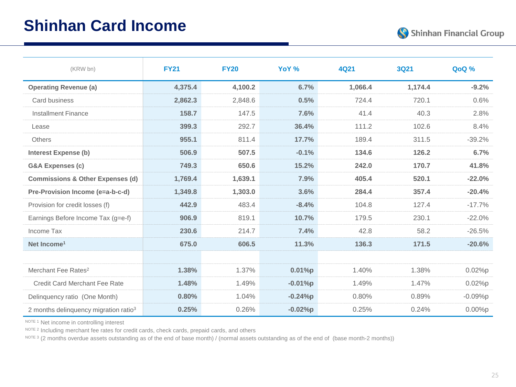

| (KRW bn)                                          | <b>FY21</b> | <b>FY20</b> | YoY %     | 4Q21    | <b>3Q21</b> | <b>QoQ%</b> |
|---------------------------------------------------|-------------|-------------|-----------|---------|-------------|-------------|
| <b>Operating Revenue (a)</b>                      | 4,375.4     | 4,100.2     | 6.7%      | 1,066.4 | 1,174.4     | $-9.2%$     |
| Card business                                     | 2,862.3     | 2,848.6     | 0.5%      | 724.4   | 720.1       | 0.6%        |
| <b>Installment Finance</b>                        | 158.7       | 147.5       | 7.6%      | 41.4    | 40.3        | 2.8%        |
| Lease                                             | 399.3       | 292.7       | 36.4%     | 111.2   | 102.6       | 8.4%        |
| <b>Others</b>                                     | 955.1       | 811.4       | 17.7%     | 189.4   | 311.5       | $-39.2%$    |
| <b>Interest Expense (b)</b>                       | 506.9       | 507.5       | $-0.1%$   | 134.6   | 126.2       | 6.7%        |
| <b>G&amp;A Expenses (c)</b>                       | 749.3       | 650.6       | 15.2%     | 242.0   | 170.7       | 41.8%       |
| <b>Commissions &amp; Other Expenses (d)</b>       | 1,769.4     | 1,639.1     | 7.9%      | 405.4   | 520.1       | $-22.0%$    |
| Pre-Provision Income (e=a-b-c-d)                  | 1,349.8     | 1,303.0     | 3.6%      | 284.4   | 357.4       | $-20.4%$    |
| Provision for credit losses (f)                   | 442.9       | 483.4       | $-8.4%$   | 104.8   | 127.4       | $-17.7%$    |
| Earnings Before Income Tax (g=e-f)                | 906.9       | 819.1       | 10.7%     | 179.5   | 230.1       | $-22.0%$    |
| Income Tax                                        | 230.6       | 214.7       | 7.4%      | 42.8    | 58.2        | $-26.5%$    |
| Net Income <sup>1</sup>                           | 675.0       | 606.5       | 11.3%     | 136.3   | 171.5       | $-20.6%$    |
|                                                   |             |             |           |         |             |             |
| Merchant Fee Rates <sup>2</sup>                   | 1.38%       | 1.37%       | 0.01%p    | 1.40%   | 1.38%       | 0.02%p      |
| <b>Credit Card Merchant Fee Rate</b>              | 1.48%       | 1.49%       | $-0.01%p$ | 1.49%   | 1.47%       | 0.02%p      |
| Delinquency ratio (One Month)                     | 0.80%       | 1.04%       | $-0.24%p$ | 0.80%   | 0.89%       | $-0.09%p$   |
| 2 months delinquency migration ratio <sup>3</sup> | 0.25%       | 0.26%       | $-0.02%p$ | 0.25%   | 0.24%       | 0.00%p      |

NOTE 1 Net income in controlling interest

NOTE 2 Including merchant fee rates for credit cards, check cards, prepaid cards, and others

NOTE 3 (2 months overdue assets outstanding as of the end of base month) / (normal assets outstanding as of the end of (base month-2 months))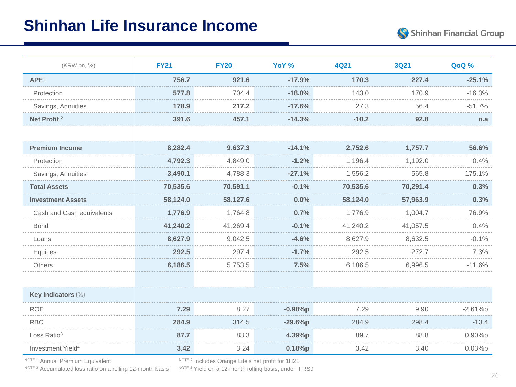### **Shinhan Life Insurance Income**

| (KRW bn, %)                   | <b>FY21</b> | <b>FY20</b> | YoY %          | <b>4Q21</b> | <b>3Q21</b> | QoQ %     |
|-------------------------------|-------------|-------------|----------------|-------------|-------------|-----------|
| APE <sup>1</sup>              | 756.7       | 921.6       | $-17.9%$       | 170.3       | 227.4       | $-25.1%$  |
| Protection                    | 577.8       | 704.4       | $-18.0%$       | 143.0       | 170.9       | $-16.3%$  |
| Savings, Annuities            | 178.9       | 217.2       | $-17.6%$       | 27.3        | 56.4        | $-51.7%$  |
| Net Profit <sup>2</sup>       | 391.6       | 457.1       | $-14.3%$       | $-10.2$     | 92.8        | n.a       |
|                               |             |             |                |             |             |           |
| <b>Premium Income</b>         | 8,282.4     | 9,637.3     | $-14.1%$       | 2,752.6     | 1,757.7     | 56.6%     |
| Protection                    | 4,792.3     | 4,849.0     | $-1.2%$        | 1,196.4     | 1,192.0     | 0.4%      |
| Savings, Annuities            | 3,490.1     | 4,788.3     | $-27.1%$       | 1,556.2     | 565.8       | 175.1%    |
| <b>Total Assets</b>           | 70,535.6    | 70,591.1    | $-0.1%$        | 70,535.6    | 70,291.4    | 0.3%      |
| <b>Investment Assets</b>      | 58,124.0    | 58,127.6    | 0.0%           | 58,124.0    | 57,963.9    | 0.3%      |
| Cash and Cash equivalents     | 1,776.9     | 1,764.8     | 0.7%           | 1,776.9     | 1,004.7     | 76.9%     |
| <b>Bond</b>                   | 41,240.2    | 41,269.4    | $-0.1%$        | 41,240.2    | 41,057.5    | 0.4%      |
| Loans                         | 8,627.9     | 9,042.5     | $-4.6%$        | 8,627.9     | 8,632.5     | $-0.1%$   |
| Equities                      | 292.5       | 297.4       | $-1.7%$        | 292.5       | 272.7       | 7.3%      |
| Others                        | 6,186.5     | 5,753.5     | 7.5%           | 6,186.5     | 6,996.5     | $-11.6%$  |
|                               |             |             |                |             |             |           |
| Key Indicators (%)            |             |             |                |             |             |           |
| <b>ROE</b>                    | 7.29        | 8.27        | $-0.98%p$      | 7.29        | 9.90        | $-2.61%p$ |
| <b>RBC</b>                    | 284.9       | 314.5       | $-29.6%p$      | 284.9       | 298.4       | $-13.4$   |
| Loss Ratio <sup>3</sup>       | 87.7        | 83.3        | 4.39%p<br>89.7 |             | 88.8        | 0.90%p    |
| Investment Yield <sup>4</sup> | 3.42        | 3.24        | 0.18%p         | 3.42        | 3.40        | 0.03%p    |

NOTE 3 Accumulated loss ratio on a rolling 12-month basis

NOTE 1 Annual Premium Equivalent Note of Note 2 Includes Orange Life's net profit for 1H21 NOTE 3 Accumulated loss ratio on a rolling 12-month basis NoTE 4 Yield on a 12-month rolling basis, under IFRS9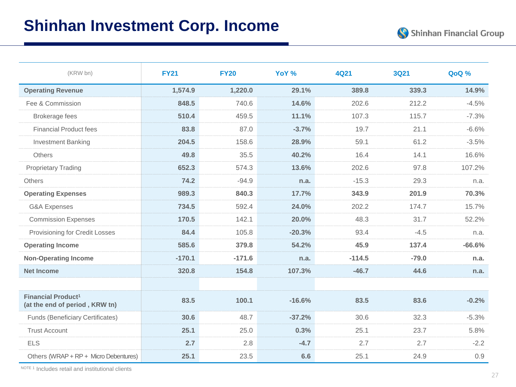| (KRW bn)                                                               | <b>FY21</b> | <b>FY20</b> | YoY %    | 4Q21     | <b>3Q21</b> | QoQ %    |
|------------------------------------------------------------------------|-------------|-------------|----------|----------|-------------|----------|
| <b>Operating Revenue</b>                                               | 1,574.9     | 1,220.0     | 29.1%    | 389.8    | 339.3       | 14.9%    |
| Fee & Commission                                                       | 848.5       | 740.6       | 14.6%    | 202.6    | 212.2       | $-4.5%$  |
| <b>Brokerage fees</b>                                                  | 510.4       | 459.5       | 11.1%    | 107.3    | 115.7       | $-7.3%$  |
| <b>Financial Product fees</b>                                          | 83.8        | 87.0        | $-3.7%$  | 19.7     | 21.1        | $-6.6%$  |
| <b>Investment Banking</b>                                              | 204.5       | 158.6       | 28.9%    | 59.1     | 61.2        | $-3.5%$  |
| <b>Others</b>                                                          | 49.8        | 35.5        | 40.2%    | 16.4     | 14.1        | 16.6%    |
| <b>Proprietary Trading</b>                                             | 652.3       | 574.3       | 13.6%    | 202.6    | 97.8        | 107.2%   |
| <b>Others</b>                                                          | 74.2        | $-94.9$     | n.a.     | $-15.3$  | 29.3        | n.a.     |
| <b>Operating Expenses</b>                                              | 989.3       | 840.3       | 17.7%    | 343.9    | 201.9       | 70.3%    |
| <b>G&amp;A Expenses</b>                                                | 734.5       | 592.4       | 24.0%    | 202.2    | 174.7       | 15.7%    |
| <b>Commission Expenses</b>                                             | 170.5       | 142.1       | 20.0%    | 48.3     | 31.7        | 52.2%    |
| Provisioning for Credit Losses                                         | 84.4        | 105.8       | $-20.3%$ | 93.4     | $-4.5$      | n.a.     |
| <b>Operating Income</b>                                                | 585.6       | 379.8       | 54.2%    | 45.9     | 137.4       | $-66.6%$ |
| <b>Non-Operating Income</b>                                            | $-170.1$    | $-171.6$    | n.a.     | $-114.5$ | $-79.0$     | n.a.     |
| <b>Net Income</b>                                                      | 320.8       | 154.8       | 107.3%   | $-46.7$  | 44.6        | n.a.     |
|                                                                        |             |             |          |          |             |          |
| <b>Financial Product<sup>1</sup></b><br>(at the end of period, KRW tn) | 83.5        | 100.1       | $-16.6%$ | 83.5     | 83.6        | $-0.2%$  |
| <b>Funds (Beneficiary Certificates)</b>                                | 30.6        | 48.7        | $-37.2%$ | 30.6     | 32.3        | $-5.3%$  |
| <b>Trust Account</b>                                                   | 25.1        | 25.0        | 0.3%     | 25.1     | 23.7        | 5.8%     |
| <b>ELS</b>                                                             | 2.7         | 2.8         | $-4.7$   | 2.7      | 2.7         | $-2.2$   |
| Others (WRAP + RP + Micro Debentures)                                  | 25.1        | 23.5        | 6.6      | 25.1     | 24.9        | 0.9      |

NOTE 1 Includes retail and institutional clients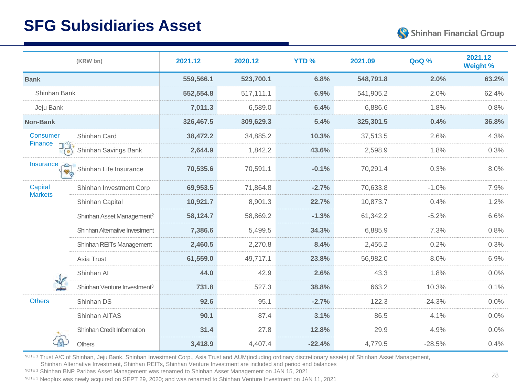### **SFG Subsidiaries Asset**



|                                   | (KRW bn)                                | 2021.12   | 2020.12   | <b>YTD%</b> | 2021.09   | QoQ %    | 2021.12<br><b>Weight %</b> |
|-----------------------------------|-----------------------------------------|-----------|-----------|-------------|-----------|----------|----------------------------|
| <b>Bank</b>                       |                                         | 559,566.1 | 523,700.1 | 6.8%        | 548,791.8 | 2.0%     | 63.2%                      |
| Shinhan Bank                      |                                         | 552,554.8 | 517,111.1 | 6.9%        | 541,905.2 | 2.0%     | 62.4%                      |
| Jeju Bank                         |                                         | 7,011.3   | 6,589.0   | 6.4%        | 6,886.6   | 1.8%     | 0.8%                       |
| Non-Bank                          |                                         | 326,467.5 | 309,629.3 | 5.4%        | 325,301.5 | 0.4%     | 36.8%                      |
| <b>Consumer</b>                   | Shinhan Card                            | 38,472.2  | 34,885.2  | 10.3%       | 37,513.5  | 2.6%     | 4.3%                       |
| Finance<br>$\circ$                | Shinhan Savings Bank                    | 2,644.9   | 1,842.2   | 43.6%       | 2,598.9   | 1.8%     | 0.3%                       |
| Insurance<br>$\frac{1}{\sqrt{2}}$ | Shinhan Life Insurance                  | 70,535.6  | 70,591.1  | $-0.1%$     | 70,291.4  | 0.3%     | 8.0%                       |
| Capital<br><b>Markets</b>         | Shinhan Investment Corp                 | 69,953.5  | 71,864.8  | $-2.7%$     | 70,633.8  | $-1.0%$  | 7.9%                       |
|                                   | Shinhan Capital                         | 10,921.7  | 8,901.3   | 22.7%       | 10,873.7  | 0.4%     | 1.2%                       |
|                                   | Shinhan Asset Management <sup>2</sup>   | 58,124.7  | 58,869.2  | $-1.3%$     | 61,342.2  | $-5.2%$  | 6.6%                       |
|                                   | Shinhan Alternative Investment          | 7,386.6   | 5,499.5   | 34.3%       | 6,885.9   | 7.3%     | 0.8%                       |
|                                   | Shinhan REITs Management                | 2,460.5   | 2,270.8   | 8.4%        | 2,455.2   | 0.2%     | 0.3%                       |
|                                   | Asia Trust                              | 61,559.0  | 49,717.1  | 23.8%       | 56,982.0  | 8.0%     | 6.9%                       |
|                                   | Shinhan Al                              | 44.0      | 42.9      | 2.6%        | 43.3      | 1.8%     | 0.0%                       |
|                                   | Shinhan Venture Investment <sup>3</sup> | 731.8     | 527.3     | 38.8%       | 663.2     | 10.3%    | 0.1%                       |
| <b>Others</b>                     | Shinhan DS                              | 92.6      | 95.1      | $-2.7%$     | 122.3     | $-24.3%$ | 0.0%                       |
|                                   | Shinhan AITAS                           | 90.1      | 87.4      | 3.1%        | 86.5      | 4.1%     | $0.0\%$                    |
|                                   | Shinhan Credit Information              | 31.4      | 27.8      | 12.8%       | 29.9      | 4.9%     | 0.0%                       |
|                                   | Others                                  | 3,418.9   | 4,407.4   | $-22.4%$    | 4,779.5   | $-28.5%$ | 0.4%                       |

NOTE 1 Trust A/C of Shinhan, Jeju Bank, Shinhan Investment Corp., Asia Trust and AUM(including ordinary discretionary assets) of Shinhan Asset Management,

Shinhan Alternative Investment, Shinhan REITs, Shinhan Venture Investment are included and period end balances

NOTE 1 Shinhan BNP Paribas Asset Management was renamed to Shinhan Asset Management on JAN 15, 2021

NOTE 3 Neoplux was newly acquired on SEPT 29, 2020; and was renamed to Shinhan Venture Investment on JAN 11, 2021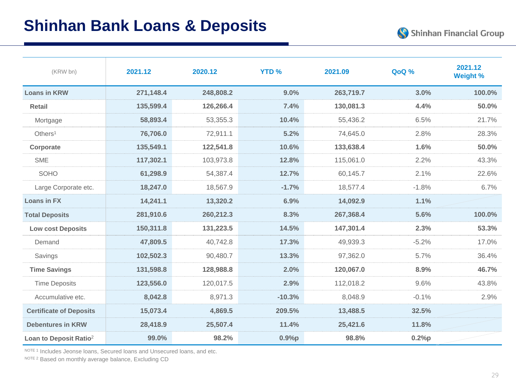| (KRW bn)                           | 2021.12   | 2020.12   | <b>YTD%</b> | 2021.09   | QoQ %   | 2021.12<br><b>Weight %</b> |
|------------------------------------|-----------|-----------|-------------|-----------|---------|----------------------------|
| <b>Loans in KRW</b>                | 271,148.4 | 248,808.2 | 9.0%        | 263,719.7 | 3.0%    | 100.0%                     |
| <b>Retail</b>                      | 135,599.4 | 126,266.4 | 7.4%        | 130,081.3 | 4.4%    | 50.0%                      |
| Mortgage                           | 58,893.4  | 53,355.3  | 10.4%       | 55,436.2  | 6.5%    | 21.7%                      |
| Others <sup>1</sup>                | 76,706.0  | 72,911.1  | 5.2%        | 74,645.0  | 2.8%    | 28.3%                      |
| Corporate                          | 135,549.1 | 122,541.8 | 10.6%       | 133,638.4 | 1.6%    | 50.0%                      |
| <b>SME</b>                         | 117,302.1 | 103,973.8 | 12.8%       | 115,061.0 | 2.2%    | 43.3%                      |
| SOHO                               | 61,298.9  | 54,387.4  | 12.7%       | 60,145.7  | 2.1%    | 22.6%                      |
| Large Corporate etc.               | 18,247.0  | 18,567.9  | $-1.7%$     | 18,577.4  | $-1.8%$ | 6.7%                       |
| <b>Loans in FX</b>                 | 14,241.1  | 13,320.2  | 6.9%        | 14,092.9  | 1.1%    |                            |
| <b>Total Deposits</b>              | 281,910.6 | 260,212.3 | 8.3%        | 267,368.4 | 5.6%    | 100.0%                     |
| <b>Low cost Deposits</b>           | 150,311.8 | 131,223.5 | 14.5%       | 147,301.4 | 2.3%    | 53.3%                      |
| Demand                             | 47,809.5  | 40,742.8  | 17.3%       | 49,939.3  | $-5.2%$ | 17.0%                      |
| Savings                            | 102,502.3 | 90,480.7  | 13.3%       | 97,362.0  | 5.7%    | 36.4%                      |
| <b>Time Savings</b>                | 131,598.8 | 128,988.8 | 2.0%        | 120,067.0 | 8.9%    | 46.7%                      |
| <b>Time Deposits</b>               | 123,556.0 | 120,017.5 | 2.9%        | 112,018.2 | 9.6%    | 43.8%                      |
| Accumulative etc.                  | 8,042.8   | 8,971.3   | $-10.3%$    | 8,048.9   | $-0.1%$ | 2.9%                       |
| <b>Certificate of Deposits</b>     | 15,073.4  | 4,869.5   | 209.5%      | 13,488.5  | 32.5%   |                            |
| <b>Debentures in KRW</b>           | 28,418.9  | 25,507.4  | 11.4%       | 25,421.6  | 11.8%   |                            |
| Loan to Deposit Ratio <sup>2</sup> | 99.0%     | 98.2%     | 0.9%p       | 98.8%     | 0.2%p   |                            |

NOTE 1 Includes Jeonse loans, Secured loans and Unsecured loans, and etc.

NOTE 2 Based on monthly average balance, Excluding CD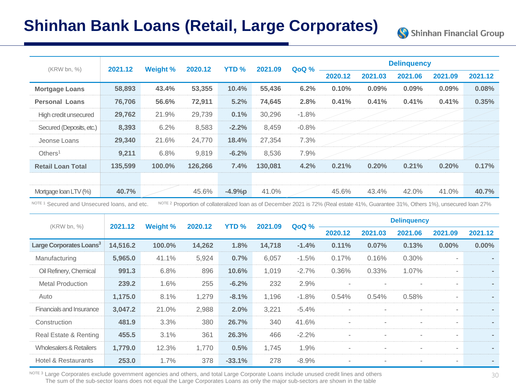### **Shinhan Bank Loans (Retail, Large Corporates)**

| (KRW bn, %)              | 2021.12 | <b>Weight %</b> | 2020.12 | <b>YTD%</b> | 2021.09 | QoQ %   |         |         | <b>Delinguency</b> |         |         |
|--------------------------|---------|-----------------|---------|-------------|---------|---------|---------|---------|--------------------|---------|---------|
|                          |         |                 |         |             |         |         | 2020.12 | 2021.03 | 2021.06            | 2021.09 | 2021.12 |
| <b>Mortgage Loans</b>    | 58,893  | 43.4%           | 53,355  | 10.4%       | 55,436  | 6.2%    | 0.10%   | 0.09%   | 0.09%              | 0.09%   | 0.08%   |
| <b>Personal Loans</b>    | 76,706  | 56.6%           | 72,911  | 5.2%        | 74,645  | 2.8%    | 0.41%   | 0.41%   | 0.41%              | 0.41%   | 0.35%   |
| High credit unsecured    | 29,762  | 21.9%           | 29,739  | 0.1%        | 30,296  | $-1.8%$ |         |         |                    |         |         |
| Secured (Deposits, etc.) | 8,393   | 6.2%            | 8,583   | $-2.2%$     | 8,459   | $-0.8%$ |         |         |                    |         |         |
| Jeonse Loans             | 29,340  | 21.6%           | 24,770  | 18.4%       | 27,354  | 7.3%    |         |         |                    |         |         |
| Others <sup>1</sup>      | 9,211   | 6.8%            | 9,819   | $-6.2%$     | 8,536   | 7.9%    |         |         |                    |         |         |
| <b>Retail Loan Total</b> | 135,599 | 100.0%          | 126,266 | 7.4%        | 130.081 | 4.2%    | 0.21%   | 0.20%   | 0.21%              | 0.20%   | 0.17%   |
|                          |         |                 |         |             |         |         |         |         |                    |         |         |
| Mortgage Ioan LTV (%)    | 40.7%   |                 | 45.6%   | $-4.9%p$    | 41.0%   |         | 45.6%   | 43.4%   | 42.0%              | 41.0%   | 40.7%   |

NOTE 1 Secured and Unsecured loans, and etc. NOTE 2 Proportion of collateralized loan as of December 2021 is 72% (Real estate 41%, Guarantee 31%, Others 1%), unsecured loan 27%

| (KRW bn, %)                         | 2021.12  | Weight % | 2020.12 | <b>YTD %</b> | 2021.09 | QoQ %   |                          |         | <b>Delinguency</b>       |                          |          |
|-------------------------------------|----------|----------|---------|--------------|---------|---------|--------------------------|---------|--------------------------|--------------------------|----------|
|                                     |          |          |         |              |         |         | 2020.12                  | 2021.03 | 2021.06                  | 2021.09                  | 2021.12  |
| Large Corporates Loans <sup>3</sup> | 14,516.2 | 100.0%   | 14,262  | 1.8%         | 14,718  | $-1.4%$ | 0.11%                    | 0.07%   | 0.13%                    | $0.00\%$                 | $0.00\%$ |
| Manufacturing                       | 5,965.0  | 41.1%    | 5,924   | 0.7%         | 6,057   | $-1.5%$ | 0.17%                    | 0.16%   | 0.30%                    | $\overline{\phantom{a}}$ | ۰.       |
| Oil Refinery, Chemical              | 991.3    | 6.8%     | 896     | 10.6%        | 1,019   | $-2.7%$ | 0.36%                    | 0.33%   | 1.07%                    | $\overline{\phantom{a}}$ |          |
| <b>Metal Production</b>             | 239.2    | 1.6%     | 255     | $-6.2%$      | 232     | 2.9%    | $\overline{\phantom{0}}$ |         |                          | $\overline{\phantom{a}}$ |          |
| Auto                                | 1,175.0  | 8.1%     | 1,279   | $-8.1%$      | 1,196   | $-1.8%$ | 0.54%                    | 0.54%   | 0.58%                    | $\overline{\phantom{a}}$ | ۰.       |
| <b>Financials and Insurance</b>     | 3,047.2  | 21.0%    | 2,988   | 2.0%         | 3,221   | $-5.4%$ | $\overline{\phantom{a}}$ |         |                          | $\overline{\phantom{a}}$ |          |
| Construction                        | 481.9    | 3.3%     | 380     | 26.7%        | 340     | 41.6%   | $\overline{\phantom{a}}$ |         |                          | $\overline{\phantom{a}}$ |          |
| Real Estate & Renting               | 455.5    | 3.1%     | 361     | 26.3%        | 466     | $-2.2%$ | $\overline{\phantom{a}}$ |         | $\overline{\phantom{a}}$ | $\overline{\phantom{a}}$ | ٠        |
| <b>Wholesalers &amp; Retailers</b>  | 1,779.0  | 12.3%    | 1.770   | 0.5%         | 1,745   | 1.9%    | $\overline{\phantom{a}}$ |         | $\overline{\phantom{a}}$ | $\overline{\phantom{a}}$ | ۰.       |
| <b>Hotel &amp; Restaurants</b>      | 253.0    | 1.7%     | 378     | $-33.1%$     | 278     | $-8.9%$ | $\overline{\phantom{a}}$ |         |                          | $\overline{\phantom{a}}$ |          |

NOTE 3 Large Corporates exclude government agencies and others, and total Large Corporate Loans include unused credit lines and others The sum of the sub-sector loans does not equal the Large Corporates Loans as only the major sub-sectors are shown in the table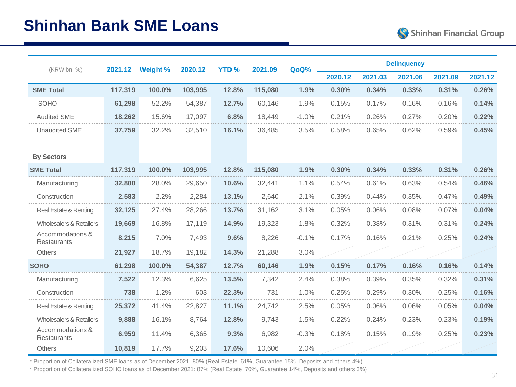| (KRW bn, %)                            | 2021.12 | <b>Weight %</b> | 2020.12 | <b>YTD%</b> | 2021.09 | QoQ%    |         |         | <b>Delinquency</b> |         |         |
|----------------------------------------|---------|-----------------|---------|-------------|---------|---------|---------|---------|--------------------|---------|---------|
|                                        |         |                 |         |             |         |         | 2020.12 | 2021.03 | 2021.06            | 2021.09 | 2021.12 |
| <b>SME Total</b>                       | 117,319 | 100.0%          | 103,995 | 12.8%       | 115,080 | 1.9%    | 0.30%   | 0.34%   | 0.33%              | 0.31%   | 0.26%   |
| SOHO                                   | 61,298  | 52.2%           | 54,387  | 12.7%       | 60,146  | 1.9%    | 0.15%   | 0.17%   | 0.16%              | 0.16%   | 0.14%   |
| <b>Audited SME</b>                     | 18,262  | 15.6%           | 17,097  | 6.8%        | 18,449  | $-1.0%$ | 0.21%   | 0.26%   | 0.27%              | 0.20%   | 0.22%   |
| <b>Unaudited SME</b>                   | 37,759  | 32.2%           | 32,510  | 16.1%       | 36.485  | 3.5%    | 0.58%   | 0.65%   | 0.62%              | 0.59%   | 0.45%   |
|                                        |         |                 |         |             |         |         |         |         |                    |         |         |
| <b>By Sectors</b>                      |         |                 |         |             |         |         |         |         |                    |         |         |
| <b>SME Total</b>                       | 117,319 | 100.0%          | 103,995 | 12.8%       | 115,080 | 1.9%    | 0.30%   | 0.34%   | 0.33%              | 0.31%   | 0.26%   |
| Manufacturing                          | 32,800  | 28.0%           | 29,650  | 10.6%       | 32,441  | 1.1%    | 0.54%   | 0.61%   | 0.63%              | 0.54%   | 0.46%   |
| Construction                           | 2,583   | 2.2%            | 2,284   | 13.1%       | 2,640   | $-2.1%$ | 0.39%   | 0.44%   | 0.35%              | 0.47%   | 0.49%   |
| Real Estate & Renting                  | 32,125  | 27.4%           | 28,266  | 13.7%       | 31,162  | 3.1%    | 0.05%   | 0.06%   | 0.08%              | 0.07%   | 0.04%   |
| <b>Wholesalers &amp; Retailers</b>     | 19,669  | 16.8%           | 17,119  | 14.9%       | 19,323  | 1.8%    | 0.32%   | 0.38%   | 0.31%              | 0.31%   | 0.24%   |
| Accommodations &<br><b>Restaurants</b> | 8,215   | 7.0%            | 7,493   | 9.6%        | 8,226   | $-0.1%$ | 0.17%   | 0.16%   | 0.21%              | 0.25%   | 0.24%   |
| <b>Others</b>                          | 21,927  | 18.7%           | 19,182  | 14.3%       | 21,288  | 3.0%    |         |         |                    |         |         |
| <b>SOHO</b>                            | 61,298  | 100.0%          | 54,387  | 12.7%       | 60,146  | 1.9%    | 0.15%   | 0.17%   | 0.16%              | 0.16%   | 0.14%   |
| Manufacturing                          | 7,522   | 12.3%           | 6,625   | 13.5%       | 7,342   | 2.4%    | 0.38%   | 0.39%   | 0.35%              | 0.32%   | 0.31%   |
| Construction                           | 738     | 1.2%            | 603     | 22.3%       | 731     | 1.0%    | 0.25%   | 0.29%   | 0.30%              | 0.25%   | 0.16%   |
| Real Estate & Renting                  | 25,372  | 41.4%           | 22,827  | 11.1%       | 24,742  | 2.5%    | 0.05%   | 0.06%   | 0.06%              | 0.05%   | 0.04%   |
| Wholesalers & Retailers                | 9,888   | 16.1%           | 8,764   | 12.8%       | 9,743   | 1.5%    | 0.22%   | 0.24%   | 0.23%              | 0.23%   | 0.19%   |
| Accommodations &<br><b>Restaurants</b> | 6,959   | 11.4%           | 6,365   | 9.3%        | 6,982   | $-0.3%$ | 0.18%   | 0.15%   | 0.19%              | 0.25%   | 0.23%   |
| Others                                 | 10,819  | 17.7%           | 9,203   | 17.6%       | 10,606  | 2.0%    |         |         |                    |         |         |

\* Proportion of Collateralized SME loans as of December 2021: 80% (Real Estate 61%, Guarantee 15%, Deposits and others 4%)

\* Proportion of Collateralized SOHO loans as of December 2021: 87% (Real Estate 70%, Guarantee 14%, Deposits and others 3%)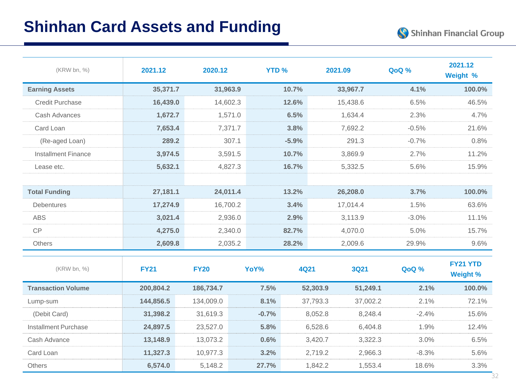| (KRW bn, %)               | 2021.12     | 2020.12     | <b>YTD %</b> |             | 2021.09 |             | QoQ %   | 2021.12<br>Weight %         |
|---------------------------|-------------|-------------|--------------|-------------|---------|-------------|---------|-----------------------------|
| <b>Earning Assets</b>     | 35,371.7    | 31,963.9    |              | 10.7%       |         | 33,967.7    | 4.1%    | 100.0%                      |
| <b>Credit Purchase</b>    | 16,439.0    | 14,602.3    |              | 12.6%       |         | 15,438.6    | 6.5%    | 46.5%                       |
| Cash Advances             | 1,672.7     | 1,571.0     |              | 6.5%        |         | 1,634.4     | 2.3%    | 4.7%                        |
| Card Loan                 | 7,653.4     | 7,371.7     |              | 3.8%        |         | 7,692.2     | $-0.5%$ | 21.6%                       |
| (Re-aged Loan)            | 289.2       | 307.1       |              | $-5.9%$     |         | 291.3       | $-0.7%$ | 0.8%                        |
| Installment Finance       | 3,974.5     | 3,591.5     |              | 10.7%       |         | 3,869.9     | 2.7%    | 11.2%                       |
| Lease etc.                | 5,632.1     | 4,827.3     |              | 16.7%       |         | 5,332.5     | 5.6%    | 15.9%                       |
|                           |             |             |              |             |         |             |         |                             |
| <b>Total Funding</b>      | 27,181.1    | 24,011.4    |              | 13.2%       |         | 26,208.0    | 3.7%    | 100.0%                      |
| Debentures                | 17,274.9    | 16,700.2    |              | 3.4%        |         | 17,014.4    | 1.5%    | 63.6%                       |
| <b>ABS</b>                | 3,021.4     | 2,936.0     |              | 2.9%        |         | 3,113.9     | $-3.0%$ | 11.1%                       |
| <b>CP</b>                 | 4,275.0     | 2,340.0     |              | 82.7%       |         | 4,070.0     | 5.0%    | 15.7%                       |
| Others                    | 2,609.8     | 2,035.2     |              | 28.2%       |         | 2,009.6     | 29.9%   | 9.6%                        |
| (KRW bn, %)               | <b>FY21</b> | <b>FY20</b> | YoY%         | <b>4Q21</b> |         | <b>3Q21</b> | QoQ %   | FY21 YTD<br><b>Weight %</b> |
| <b>Transaction Volume</b> | 200,804.2   | 186,734.7   | 7.5%         | 52,303.9    |         | 51,249.1    | 2.1%    | 100.0%                      |
| Lump-sum                  | 144,856.5   | 134,009.0   | 8.1%         | 37,793.3    |         | 37,002.2    | 2.1%    | 72.1%                       |
| (Debit Card)              | 31,398.2    | 31,619.3    | $-0.7%$      |             | 8,052.8 | 8,248.4     | $-2.4%$ | 15.6%                       |
| Installment Purchase      | 24,897.5    | 23,527.0    | 5.8%         |             | 6,528.6 | 6,404.8     | 1.9%    | 12.4%                       |
| Cash Advance              | 13,148.9    | 13,073.2    | 0.6%         |             | 3,420.7 | 3,322.3     | 3.0%    | 6.5%                        |
| Card Loan                 | 11,327.3    | 10,977.3    | 3.2%         |             | 2,719.2 | 2,966.3     | $-8.3%$ | 5.6%                        |
| Others                    | 6,574.0     | 5,148.2     | 27.7%        |             | 1,842.2 | 1,553.4     | 18.6%   | 3.3%                        |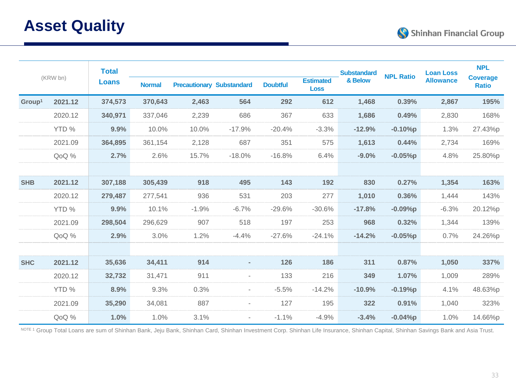

|                    | (KRW bn) | <b>Total</b> |               |         |                                  |                 |                                 | <b>Substandard</b> | <b>NPL Ratio</b> | <b>Loan Loss</b> | <b>NPL</b><br><b>Coverage</b> |
|--------------------|----------|--------------|---------------|---------|----------------------------------|-----------------|---------------------------------|--------------------|------------------|------------------|-------------------------------|
|                    |          | <b>Loans</b> | <b>Normal</b> |         | <b>Precautionary Substandard</b> | <b>Doubtful</b> | <b>Estimated</b><br><b>Loss</b> | & Below            |                  | <b>Allowance</b> | <b>Ratio</b>                  |
| Group <sup>1</sup> | 2021.12  | 374,573      | 370,643       | 2,463   | 564                              | 292             | 612                             | 1,468              | 0.39%            | 2,867            | 195%                          |
|                    | 2020.12  | 340,971      | 337,046       | 2,239   | 686                              | 367             | 633                             | 1,686              | 0.49%            | 2,830            | 168%                          |
|                    | YTD %    | 9.9%         | 10.0%         | 10.0%   | $-17.9%$                         | $-20.4%$        | $-3.3%$                         | $-12.9%$           | $-0.10%p$        | 1.3%             | 27.43%p                       |
|                    | 2021.09  | 364,895      | 361,154       | 2,128   | 687                              | 351             | 575                             | 1,613              | 0.44%            | 2,734            | 169%                          |
|                    | QoQ %    | 2.7%         | 2.6%          | 15.7%   | $-18.0%$                         | $-16.8%$        | 6.4%                            | $-9.0%$            | $-0.05%$ p       | 4.8%             | 25.80%p                       |
|                    |          |              |               |         |                                  |                 |                                 |                    |                  |                  |                               |
| <b>SHB</b>         | 2021.12  | 307,188      | 305,439       | 918     | 495                              | 143             | 192                             | 830                | 0.27%            | 1,354            | 163%                          |
|                    | 2020.12  | 279,487      | 277,541       | 936     | 531                              | 203             | 277                             | 1,010              | 0.36%            | 1,444            | 143%                          |
|                    | YTD %    | 9.9%         | 10.1%         | $-1.9%$ | $-6.7%$                          | $-29.6%$        | $-30.6%$                        | $-17.8%$           | $-0.09%p$        | $-6.3%$          | 20.12%p                       |
|                    | 2021.09  | 298,504      | 296,629       | 907     | 518                              | 197             | 253                             | 968                | 0.32%            | 1,344            | 139%                          |
|                    | QoQ %    | 2.9%         | 3.0%          | 1.2%    | $-4.4%$                          | $-27.6%$        | $-24.1%$                        | $-14.2%$           | $-0.05%p$        | 0.7%             | 24.26%p                       |
|                    |          |              |               |         |                                  |                 |                                 |                    |                  |                  |                               |
| <b>SHC</b>         | 2021.12  | 35,636       | 34,411        | 914     | ٠                                | 126             | 186                             | 311                | 0.87%            | 1,050            | 337%                          |
|                    | 2020.12  | 32,732       | 31,471        | 911     |                                  | 133             | 216                             | 349                | 1.07%            | 1,009            | 289%                          |
|                    | YTD %    | 8.9%         | 9.3%          | 0.3%    |                                  | $-5.5%$         | $-14.2%$                        | $-10.9%$           | $-0.19%p$        | 4.1%             | 48.63%p                       |
|                    | 2021.09  | 35,290       | 34,081        | 887     | $\overline{\phantom{a}}$         | 127             | 195                             | 322                | 0.91%            | 1,040            | 323%                          |
|                    | QoQ %    | 1.0%         | 1.0%          | 3.1%    | $\overline{\phantom{a}}$         | $-1.1%$         | $-4.9%$                         | $-3.4%$            | $-0.04%p$        | 1.0%             | 14.66%p                       |

NOTE 1 Group Total Loans are sum of Shinhan Bank, Jeju Bank, Shinhan Card, Shinhan Investment Corp. Shinhan Life Insurance, Shinhan Capital, Shinhan Savings Bank and Asia Trust.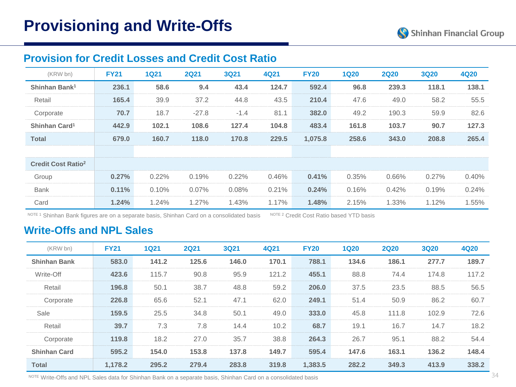### **Provision for Credit Losses and Credit Cost Ratio**

| (KRW bn)                             | <b>FY21</b> | <b>1Q21</b> | <b>2Q21</b> | <b>3Q21</b> | <b>4Q21</b> | <b>FY20</b> | <b>1Q20</b> | <b>2Q20</b> | <b>3Q20</b> | <b>4Q20</b> |
|--------------------------------------|-------------|-------------|-------------|-------------|-------------|-------------|-------------|-------------|-------------|-------------|
| Shinhan Bank <sup>1</sup>            | 236.1       | 58.6        | 9.4         | 43.4        | 124.7       | 592.4       | 96.8        | 239.3       | 118.1       | 138.1       |
| Retail                               | 165.4       | 39.9        | 37.2        | 44.8        | 43.5        | 210.4       | 47.6        | 49.0        | 58.2        | 55.5        |
| Corporate                            | 70.7        | 18.7        | $-27.8$     | $-1.4$      | 81.1        | 382.0       | 49.2        | 190.3       | 59.9        | 82.6        |
| Shinhan Card <sup>1</sup>            | 442.9       | 102.1       | 108.6       | 127.4       | 104.8       | 483.4       | 161.8       | 103.7       | 90.7        | 127.3       |
| <b>Total</b>                         | 679.0       | 160.7       | 118.0       | 170.8       | 229.5       | 1,075.8     | 258.6       | 343.0       | 208.8       | 265.4       |
|                                      |             |             |             |             |             |             |             |             |             |             |
| <b>Credit Cost Ratio<sup>2</sup></b> |             |             |             |             |             |             |             |             |             |             |
| Group                                | 0.27%       | 0.22%       | 0.19%       | 0.22%       | 0.46%       | 0.41%       | 0.35%       | 0.66%       | 0.27%       | 0.40%       |
| <b>Bank</b>                          | 0.11%       | 0.10%       | 0.07%       | 0.08%       | 0.21%       | 0.24%       | 0.16%       | 0.42%       | 0.19%       | 0.24%       |
| Card                                 | 1.24%       | 1.24%       | 1.27%       | 1.43%       | 1.17%       | 1.48%       | 2.15%       | 1.33%       | 1.12%       | 1.55%       |

NOTE<sup>1</sup> Shinhan Bank figures are on a separate basis, Shinhan Card on a consolidated basis NOTE<sup>2</sup> Credit Cost Ratio based YTD basis

### **Write-Offs and NPL Sales**

| (KRW bn)            | <b>FY21</b> | <b>1Q21</b> | <b>2Q21</b> | <b>3Q21</b> | 4Q21  | <b>FY20</b> | <b>1Q20</b> | <b>2Q20</b> | <b>3Q20</b> | <b>4Q20</b> |
|---------------------|-------------|-------------|-------------|-------------|-------|-------------|-------------|-------------|-------------|-------------|
| <b>Shinhan Bank</b> | 583.0       | 141.2       | 125.6       | 146.0       | 170.1 | 788.1       | 134.6       | 186.1       | 277.7       | 189.7       |
| Write-Off           | 423.6       | 115.7       | 90.8        | 95.9        | 121.2 | 455.1       | 88.8        | 74.4        | 174.8       | 117.2       |
| Retail              | 196.8       | 50.1        | 38.7        | 48.8        | 59.2  | 206.0       | 37.5        | 23.5        | 88.5        | 56.5        |
| Corporate           | 226.8       | 65.6        | 52.1        | 47.1        | 62.0  | 249.1       | 51.4        | 50.9        | 86.2        | 60.7        |
| Sale                | 159.5       | 25.5        | 34.8        | 50.1        | 49.0  | 333.0       | 45.8        | 111.8       | 102.9       | 72.6        |
| Retail              | 39.7        | 7.3         | 7.8         | 14.4        | 10.2  | 68.7        | 19.1        | 16.7        | 14.7        | 18.2        |
| Corporate           | 119.8       | 18.2        | 27.0        | 35.7        | 38.8  | 264.3       | 26.7        | 95.1        | 88.2        | 54.4        |
| <b>Shinhan Card</b> | 595.2       | 154.0       | 153.8       | 137.8       | 149.7 | 595.4       | 147.6       | 163.1       | 136.2       | 148.4       |
| <b>Total</b>        | 1.178.2     | 295.2       | 279.4       | 283.8       | 319.8 | 1.383.5     | 282.2       | 349.3       | 413.9       | 338.2       |

NOTE Write-Offs and NPL Sales data for Shinhan Bank on a separate basis, Shinhan Card on a consolidated basis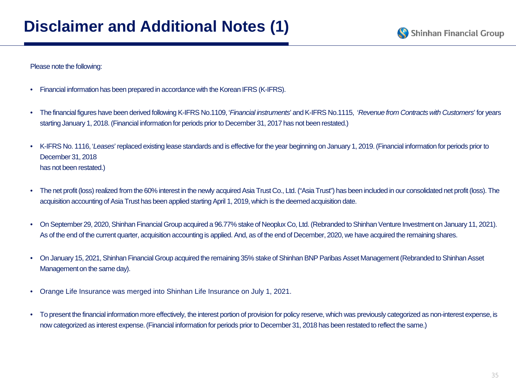#### Please note the following:

- Financial information has been prepared in accordance with the Korean IFRS (K-IFRS).
- The financial figures have been derived following K-IFRS No.1109, '*Financial instruments*' and K-IFRS No.1115, '*Revenue from Contracts with Customers*' for years starting January 1, 2018. (Financial information for periods prior to December 31, 2017 has not been restated.)
- K-IFRS No. 1116, '*Leases*' replaced existing lease standards and is effective for the year beginning on January 1, 2019. (Financial information for periods prior to December 31, 2018 has not been restated.)
- The net profit (loss) realized from the 60% interest in the newly acquired Asia Trust Co., Ltd. ("Asia Trust") has been included in our consolidated net profit (loss). The acquisition accounting of Asia Trust has been applied starting April 1, 2019, which is the deemed acquisition date.
- On September 29, 2020, Shinhan Financial Group acquired a 96.77% stake of Neoplux Co, Ltd. (Rebranded to Shinhan Venture Investment on January 11, 2021). As of the end of the current quarter, acquisition accounting is applied. And, as of the end of December, 2020, we have acquired the remaining shares.
- On January 15, 2021, Shinhan Financial Group acquired the remaining 35% stake of Shinhan BNP Paribas Asset Management (Rebranded to Shinhan Asset Management on the same day).
- Orange Life Insurance was merged into Shinhan Life Insurance on July 1, 2021.
- To present the financial information more effectively, the interest portion of provision for policy reserve, which was previously categorized as non-interest expense, is now categorized as interest expense. (Financial information for periods prior to December 31, 2018 has been restated to reflect the same.)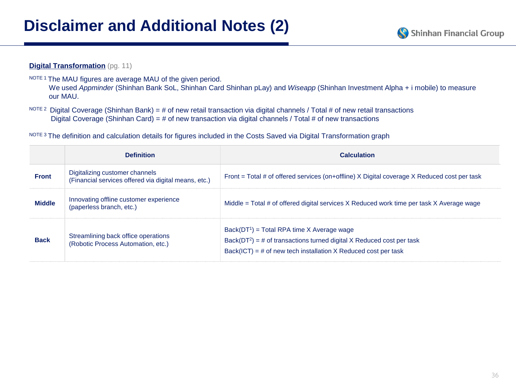#### **Digital Transformation** (pg. 11)

- NOTE 1 The MAU figures are average MAU of the given period. We used *Appminder* (Shinhan Bank SoL, Shinhan Card Shinhan pLay) and *Wiseapp* (Shinhan Investment Alpha + i mobile) to measure our MAU.
- NOTE 2 Digital Coverage (Shinhan Bank) = # of new retail transaction via digital channels / Total # of new retail transactions Digital Coverage (Shinhan Card) = # of new transaction via digital channels / Total # of new transactions

NOTE 3 The definition and calculation details for figures included in the Costs Saved via Digital Transformation graph

|               | <b>Definition</b>                                                                      | <b>Calculation</b>                                                                                                                                                                           |  |  |  |  |  |
|---------------|----------------------------------------------------------------------------------------|----------------------------------------------------------------------------------------------------------------------------------------------------------------------------------------------|--|--|--|--|--|
| <b>Front</b>  | Digitalizing customer channels<br>(Financial services offered via digital means, etc.) | Front = Total # of offered services (on+offline) X Digital coverage X Reduced cost per task                                                                                                  |  |  |  |  |  |
| <b>Middle</b> | Innovating offline customer experience<br>(paperless branch, etc.)                     | Middle = Total # of offered digital services X Reduced work time per task X Average wage                                                                                                     |  |  |  |  |  |
| <b>Back</b>   | Streamlining back office operations<br>(Robotic Process Automation, etc.)              | $Back(DT1) = Total RPA time X Average wage$<br>Back( $DT^2$ ) = # of transactions turned digital X Reduced cost per task<br>$Back(ICT) = # of new tech installation X Reduced cost per task$ |  |  |  |  |  |